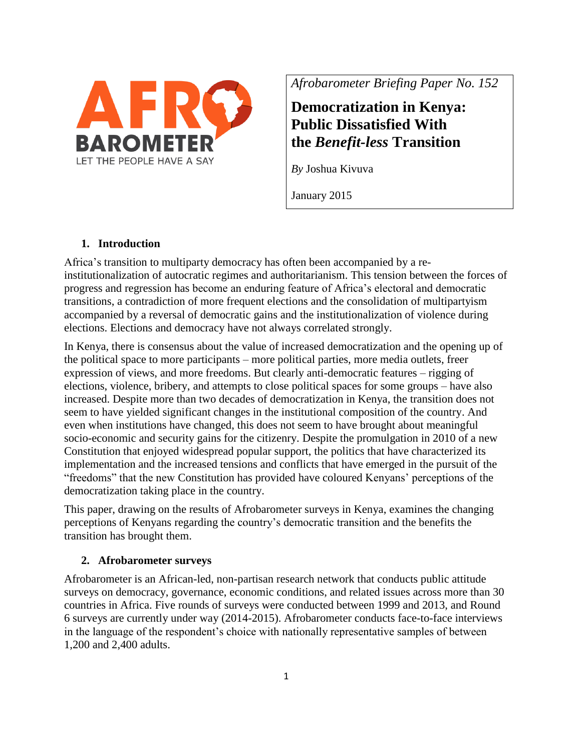

*Afrobarometer Briefing Paper No. 152*

# **Democratization in Kenya: Public Dissatisfied With the** *Benefit-less* **Transition**

*By* Joshua Kivuva

January 2015

# **1. Introduction**

Africa's transition to multiparty democracy has often been accompanied by a reinstitutionalization of autocratic regimes and authoritarianism. This tension between the forces of progress and regression has become an enduring feature of Africa's electoral and democratic transitions, a contradiction of more frequent elections and the consolidation of multipartyism accompanied by a reversal of democratic gains and the institutionalization of violence during elections. Elections and democracy have not always correlated strongly.

In Kenya, there is consensus about the value of increased democratization and the opening up of the political space to more participants – more political parties, more media outlets, freer expression of views, and more freedoms. But clearly anti-democratic features – rigging of elections, violence, bribery, and attempts to close political spaces for some groups – have also increased. Despite more than two decades of democratization in Kenya, the transition does not seem to have yielded significant changes in the institutional composition of the country. And even when institutions have changed, this does not seem to have brought about meaningful socio-economic and security gains for the citizenry. Despite the promulgation in 2010 of a new Constitution that enjoyed widespread popular support, the politics that have characterized its implementation and the increased tensions and conflicts that have emerged in the pursuit of the "freedoms" that the new Constitution has provided have coloured Kenyans' perceptions of the democratization taking place in the country.

This paper, drawing on the results of Afrobarometer surveys in Kenya, examines the changing perceptions of Kenyans regarding the country's democratic transition and the benefits the transition has brought them.

### **2. Afrobarometer surveys**

Afrobarometer is an African-led, non-partisan research network that conducts public attitude surveys on democracy, governance, economic conditions, and related issues across more than 30 countries in Africa. Five rounds of surveys were conducted between 1999 and 2013, and Round 6 surveys are currently under way (2014-2015). Afrobarometer conducts face-to-face interviews in the language of the respondent's choice with nationally representative samples of between 1,200 and 2,400 adults.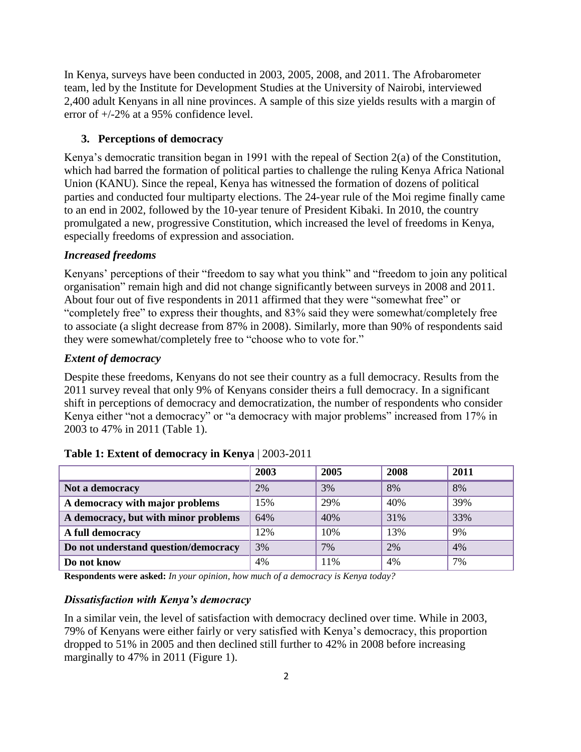In Kenya, surveys have been conducted in 2003, 2005, 2008, and 2011. The Afrobarometer team, led by the Institute for Development Studies at the University of Nairobi, interviewed 2,400 adult Kenyans in all nine provinces. A sample of this size yields results with a margin of error of +/-2% at a 95% confidence level.

### **3. Perceptions of democracy**

Kenya's democratic transition began in 1991 with the repeal of Section 2(a) of the Constitution, which had barred the formation of political parties to challenge the ruling Kenya Africa National Union (KANU). Since the repeal, Kenya has witnessed the formation of dozens of political parties and conducted four multiparty elections. The 24-year rule of the Moi regime finally came to an end in 2002, followed by the 10-year tenure of President Kibaki. In 2010, the country promulgated a new, progressive Constitution, which increased the level of freedoms in Kenya, especially freedoms of expression and association.

# *Increased freedoms*

Kenyans' perceptions of their "freedom to say what you think" and "freedom to join any political organisation" remain high and did not change significantly between surveys in 2008 and 2011. About four out of five respondents in 2011 affirmed that they were "somewhat free" or "completely free" to express their thoughts, and 83% said they were somewhat/completely free to associate (a slight decrease from 87% in 2008). Similarly, more than 90% of respondents said they were somewhat/completely free to "choose who to vote for."

# *Extent of democracy*

Despite these freedoms, Kenyans do not see their country as a full democracy. Results from the 2011 survey reveal that only 9% of Kenyans consider theirs a full democracy. In a significant shift in perceptions of democracy and democratization, the number of respondents who consider Kenya either "not a democracy" or "a democracy with major problems" increased from 17% in 2003 to 47% in 2011 (Table 1).

|                                      | 2003 | 2005 | 2008 | 2011 |
|--------------------------------------|------|------|------|------|
| Not a democracy                      | 2%   | 3%   | 8%   | 8%   |
| A democracy with major problems      | 15%  | 29%  | 40%  | 39%  |
| A democracy, but with minor problems | 64%  | 40%  | 31%  | 33%  |
| A full democracy                     | 12%  | 10%  | 13%  | 9%   |
| Do not understand question/democracy | 3%   | 7%   | 2%   | 4%   |
| Do not know                          | 4%   | 11%  | 4%   | 7%   |

### **Table 1: Extent of democracy in Kenya** | 2003-2011

**Respondents were asked:** *In your opinion, how much of a democracy is Kenya today?*

#### *Dissatisfaction with Kenya's democracy*

In a similar vein, the level of satisfaction with democracy declined over time. While in 2003, 79% of Kenyans were either fairly or very satisfied with Kenya's democracy, this proportion dropped to 51% in 2005 and then declined still further to 42% in 2008 before increasing marginally to 47% in 2011 (Figure 1).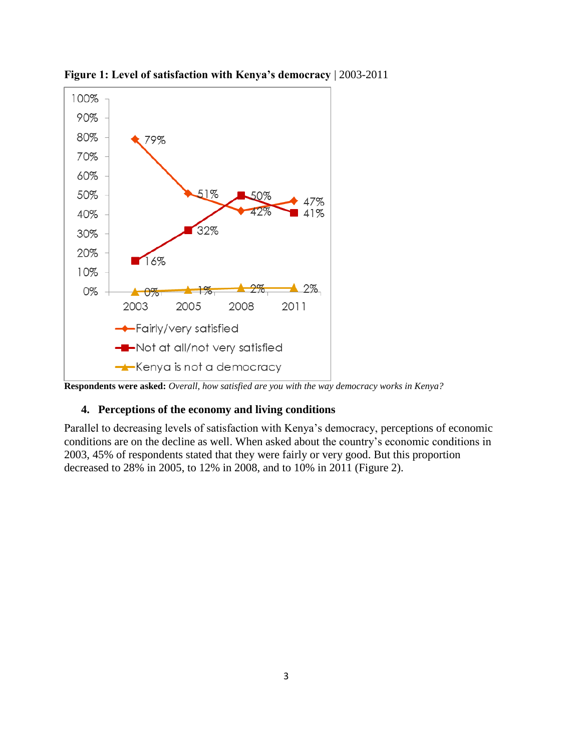

**Figure 1: Level of satisfaction with Kenya's democracy** | 2003-2011

**Respondents were asked:** *Overall, how satisfied are you with the way democracy works in Kenya?*

#### **4. Perceptions of the economy and living conditions**

Parallel to decreasing levels of satisfaction with Kenya's democracy, perceptions of economic conditions are on the decline as well. When asked about the country's economic conditions in 2003, 45% of respondents stated that they were fairly or very good. But this proportion decreased to 28% in 2005, to 12% in 2008, and to 10% in 2011 (Figure 2).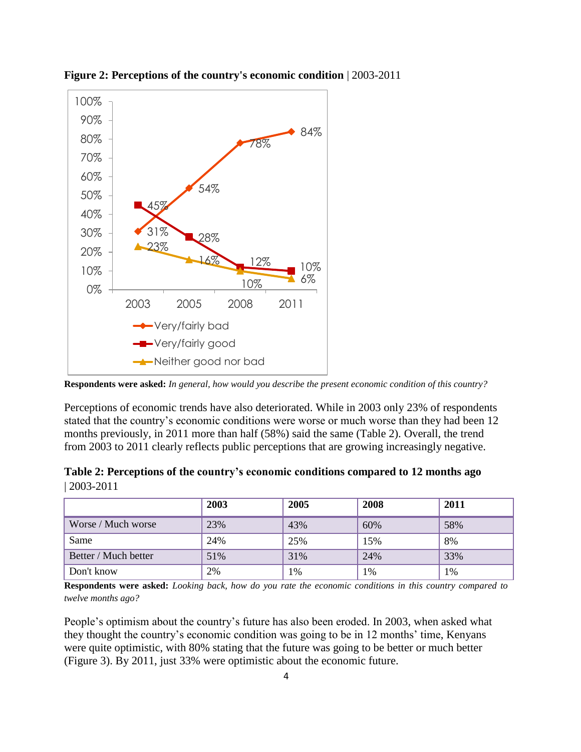

**Figure 2: Perceptions of the country's economic condition** | 2003-2011

**Respondents were asked:** *In general, how would you describe the present economic condition of this country?*

Perceptions of economic trends have also deteriorated. While in 2003 only 23% of respondents stated that the country's economic conditions were worse or much worse than they had been 12 months previously, in 2011 more than half (58%) said the same (Table 2). Overall, the trend from 2003 to 2011 clearly reflects public perceptions that are growing increasingly negative.

| Table 2: Perceptions of the country's economic conditions compared to 12 months ago |  |
|-------------------------------------------------------------------------------------|--|
| $ 2003 - 2011 $                                                                     |  |

|                      | 2003 | 2005 | 2008 | 2011 |
|----------------------|------|------|------|------|
| Worse / Much worse   | 23%  | 43%  | 60%  | 58%  |
| Same                 | 24%  | 25%  | 15%  | 8%   |
| Better / Much better | 51%  | 31%  | 24%  | 33%  |
| Don't know           | 2%   | 1%   | 1%   | 1%   |

**Respondents were asked:** *Looking back, how do you rate the economic conditions in this country compared to twelve months ago?*

People's optimism about the country's future has also been eroded. In 2003, when asked what they thought the country's economic condition was going to be in 12 months' time, Kenyans were quite optimistic, with 80% stating that the future was going to be better or much better (Figure 3). By 2011, just 33% were optimistic about the economic future.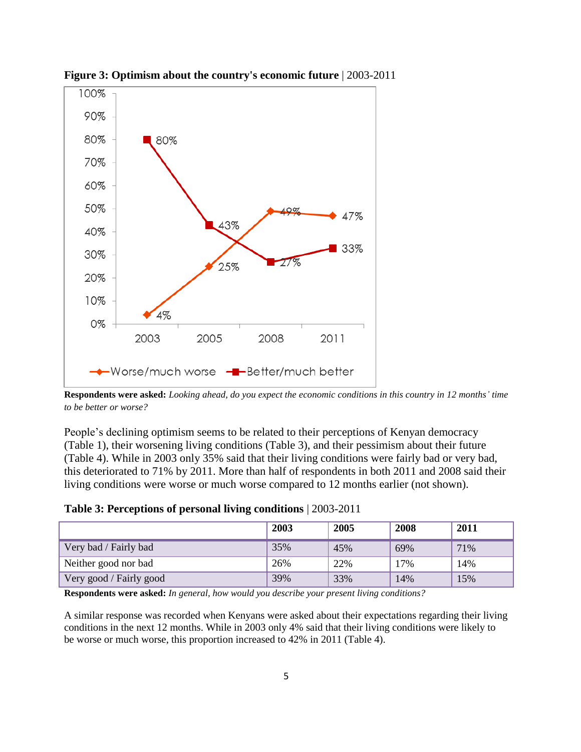

**Figure 3: Optimism about the country's economic future** | 2003-2011

**Respondents were asked:** *Looking ahead, do you expect the economic conditions in this country in 12 months' time to be better or worse?*

People's declining optimism seems to be related to their perceptions of Kenyan democracy (Table 1), their worsening living conditions (Table 3), and their pessimism about their future (Table 4). While in 2003 only 35% said that their living conditions were fairly bad or very bad, this deteriorated to 71% by 2011. More than half of respondents in both 2011 and 2008 said their living conditions were worse or much worse compared to 12 months earlier (not shown).

|  |  |  |  |  | Table 3: Perceptions of personal living conditions   2003-2011 |  |  |
|--|--|--|--|--|----------------------------------------------------------------|--|--|
|--|--|--|--|--|----------------------------------------------------------------|--|--|

|                         | 2003 | 2005 | 2008 | 2011 |
|-------------------------|------|------|------|------|
| Very bad / Fairly bad   | 35%  | 45%  | 69%  | 71%  |
| Neither good nor bad    | 26%  | 22%  | 17%  | 14%  |
| Very good / Fairly good | 39%  | 33%  | 14%  | 15%  |

**Respondents were asked:** *In general, how would you describe your present living conditions?*

A similar response was recorded when Kenyans were asked about their expectations regarding their living conditions in the next 12 months. While in 2003 only 4% said that their living conditions were likely to be worse or much worse, this proportion increased to 42% in 2011 (Table 4).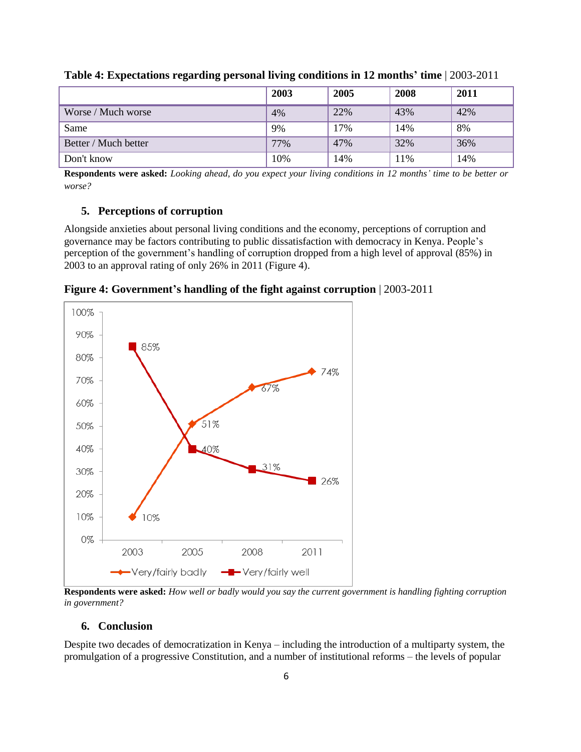|                      | 2003 | 2005 | 2008 | 2011 |
|----------------------|------|------|------|------|
| Worse / Much worse   | 4%   | 22%  | 43%  | 42%  |
| Same                 | 9%   | 17%  | 14%  | 8%   |
| Better / Much better | 77%  | 47%  | 32%  | 36%  |
| Don't know           | 10%  | 14%  | 11%  | 14%  |

**Table 4: Expectations regarding personal living conditions in 12 months' time** | 2003-2011

**Respondents were asked:** *Looking ahead, do you expect your living conditions in 12 months' time to be better or worse?*

#### **5. Perceptions of corruption**

Alongside anxieties about personal living conditions and the economy, perceptions of corruption and governance may be factors contributing to public dissatisfaction with democracy in Kenya. People's perception of the government's handling of corruption dropped from a high level of approval (85%) in 2003 to an approval rating of only 26% in 2011 (Figure 4).



**Figure 4: Government's handling of the fight against corruption** | 2003-2011

**Respondents were asked:** *How well or badly would you say the current government is handling fighting corruption in government?*

#### **6. Conclusion**

Despite two decades of democratization in Kenya – including the introduction of a multiparty system, the promulgation of a progressive Constitution, and a number of institutional reforms – the levels of popular